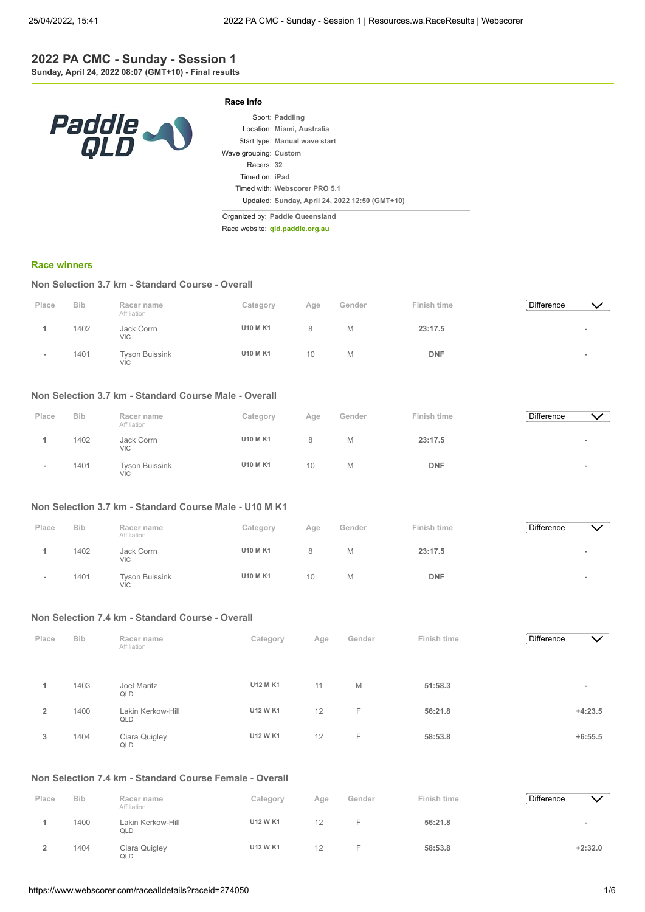## **2022 PA CMC - Sunday - Session 1 Sunday, April 24, 2022 08:07 (GMT+10) - Final results**



|                       | Sport: Paddling                                |
|-----------------------|------------------------------------------------|
|                       | Location: Miami, Australia                     |
|                       | Start type: Manual wave start                  |
| Wave grouping: Custom |                                                |
| Racers: 32            |                                                |
| Timed on: iPad        |                                                |
|                       | Timed with: Webscorer PRO 5.1                  |
|                       | Updated: Sunday, April 24, 2022 12:50 (GMT+10) |

Organized by: **Paddle Queensland**

**Race info**

Race website: **[qld.paddle.org.au](http://qld.paddle.org.au/)**

#### **[Race winners](https://www.webscorer.com/race?raceid=274050)**

## **Non Selection 3.7 km - Standard Course - Overall**

| Place | <b>Bib</b> | Racer name<br>Affiliation           | Category        | Age | Gender | Finish time | Difference | $\vee$ |
|-------|------------|-------------------------------------|-----------------|-----|--------|-------------|------------|--------|
|       | 1402       | Jack Corrn<br><b>VIC</b>            | <b>U10 M K1</b> | 8   | Μ      | 23:17.5     |            |        |
|       | 1401       | <b>Tyson Buissink</b><br><b>VIC</b> | <b>U10 M K1</b> | 10  | M      | <b>DNF</b>  |            |        |

## **Non Selection 3.7 km - Standard Course Male - Overall**

| Place | <b>Bib</b> | Racer name                          | Category        | Age             | Gender | Finish time | <b>Difference</b> |  |
|-------|------------|-------------------------------------|-----------------|-----------------|--------|-------------|-------------------|--|
|       | 1402       | Affiliation<br>Jack Corrn<br>VIC    | <b>U10 M K1</b> |                 | M      | 23:17.5     |                   |  |
|       | 1401       | <b>Tyson Buissink</b><br><b>VIC</b> | <b>U10 M K1</b> | 10 <sup>1</sup> | M      | <b>DNF</b>  |                   |  |

## **Non Selection 3.7 km - Standard Course Male - U10 M K1**

| Place | <b>Bib</b> | Racer name<br>Affiliation           | Category        | Age | Gender | Finish time | Difference |                          |
|-------|------------|-------------------------------------|-----------------|-----|--------|-------------|------------|--------------------------|
|       | 1402       | Jack Corrn<br><b>VIC</b>            | <b>U10 M K1</b> | Զ   | M      | 23:17.5     |            |                          |
|       | 1401       | <b>Tyson Buissink</b><br><b>VIC</b> | <b>U10 M K1</b> | 10  | M      | <b>DNF</b>  |            | $\overline{\phantom{a}}$ |

#### **Non Selection 7.4 km - Standard Course - Overall**

| Place          | <b>Bib</b> | Racer name<br>Affiliation | Category        | Age | Gender | Finish time | Difference | $\vee$                   |
|----------------|------------|---------------------------|-----------------|-----|--------|-------------|------------|--------------------------|
|                |            |                           |                 |     |        |             |            |                          |
|                | 1403       | Joel Maritz<br>QLD        | U12 M K1        | 11  | M      | 51:58.3     |            | $\overline{\phantom{a}}$ |
| $\overline{2}$ | 1400       | Lakin Kerkow-Hill<br>QLD  | U12 W K1        | 12  | F      | 56:21.8     |            | $+4:23.5$                |
| 3              | 1404       | Ciara Quigley<br>QLD      | <b>U12 W K1</b> | 12  | F      | 58:53.8     |            | $+6:55.5$                |

# **Non Selection 7.4 km - Standard Course Female - Overall**

| Place | <b>Bib</b> | Racer name<br>Affiliation | Category        | Age | Gender | Finish time | <b>Difference</b> |           |
|-------|------------|---------------------------|-----------------|-----|--------|-------------|-------------------|-----------|
|       | 1400       | Lakin Kerkow-Hill<br>QLD  | <b>U12 W K1</b> | 12  |        | 56:21.8     |                   |           |
|       | 1404       | Ciara Quigley<br>QLD      | <b>U12 W K1</b> | 12  |        | 58:53.8     |                   | $+2:32.0$ |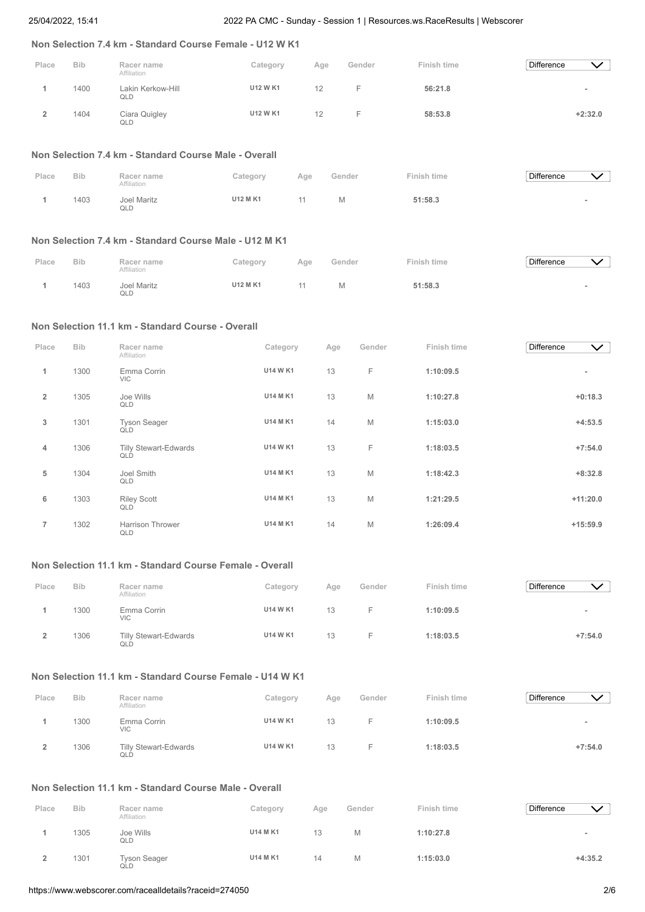# **Non Selection 7.4 km - Standard Course Female - U12 W K1**

| Place | <b>Bib</b> | Racer name<br>Affiliation | Category        | Age | Gender | Finish time | <b>Difference</b> | $\checkmark$ |
|-------|------------|---------------------------|-----------------|-----|--------|-------------|-------------------|--------------|
|       | 1400       | Lakin Kerkow-Hill<br>QLD  | <b>U12 W K1</b> |     |        | 56:21.8     |                   | -            |
|       | 1404       | Ciara Quigley<br>QLD      | <b>U12 W K1</b> | 12  |        | 58:53.8     |                   | $+2:32.0$    |

#### **Non Selection 7.4 km - Standard Course Male - Overall**

| Place | <b>Bib</b> | Racer name<br>Affiliation | Category        | Age | Gender | Finish time | Difference |  |
|-------|------------|---------------------------|-----------------|-----|--------|-------------|------------|--|
|       | 1403       | <b>Joel Maritz</b><br>QLD | <b>U12 M K1</b> | 11  | M      | 51:58.3     |            |  |

## **Non Selection 7.4 km - Standard Course Male - U12 M K1**

| Place | <b>Bib</b> | Racer name<br>Affiliation | Category | Age | Gender | Finish time | <b>Difference</b> |  |
|-------|------------|---------------------------|----------|-----|--------|-------------|-------------------|--|
|       | 1403       | Joel Maritz<br>QLD        | U12 M K1 |     | Μ      | 51:58.3     |                   |  |

# **Non Selection 11.1 km - Standard Course - Overall**

| Place          | <b>Bib</b> | Racer name                          | Category        | Age | Gender | Finish time | Difference | $\checkmark$ |
|----------------|------------|-------------------------------------|-----------------|-----|--------|-------------|------------|--------------|
|                |            | Affiliation                         |                 |     |        |             |            |              |
| 1              | 1300       | Emma Corrin<br><b>VIC</b>           | <b>U14 W K1</b> | 13  | F      | 1:10:09.5   |            | $\sim$       |
| $\overline{2}$ | 1305       | Joe Wills<br>QLD                    | <b>U14 M K1</b> | 13  | M      | 1:10:27.8   |            | $+0:18.3$    |
| 3              | 1301       | <b>Tyson Seager</b><br>QLD          | <b>U14 M K1</b> | 14  | M      | 1:15:03.0   |            | $+4:53.5$    |
| $\overline{4}$ | 1306       | <b>Tilly Stewart-Edwards</b><br>QLD | U14 W K1        | 13  | F      | 1:18:03.5   |            | $+7:54.0$    |
| 5              | 1304       | Joel Smith<br>QLD                   | <b>U14 M K1</b> | 13  | M      | 1:18:42.3   |            | $+8:32.8$    |
| 6              | 1303       | <b>Riley Scott</b><br>QLD           | <b>U14 M K1</b> | 13  | M      | 1:21:29.5   |            | $+11:20.0$   |
| $\overline{7}$ | 1302       | <b>Harrison Thrower</b><br>QLD      | <b>U14 M K1</b> | 14  | M      | 1:26:09.4   |            | $+15:59.9$   |

# **Non Selection 11.1 km - Standard Course Female - Overall**

| Place | <b>Bib</b> | Racer name<br>Affiliation    | Category        | Age | Gender | Finish time | <b>Difference</b> | $\checkmark$ |
|-------|------------|------------------------------|-----------------|-----|--------|-------------|-------------------|--------------|
|       | 1300       | Emma Corrin<br><b>VIC</b>    | <b>U14 W K1</b> | 13  |        | 1:10:09.5   |                   | -            |
|       | 1306       | Tilly Stewart-Edwards<br>QLD | <b>U14 W K1</b> | 13  |        | 1:18:03.5   |                   | $+7:54.0$    |

# **Non Selection 11.1 km - Standard Course Female - U14 W K1**

| Place | <b>Bib</b> | Racer name<br>Affiliation    | Category        | Age | Gender | Finish time | <b>Difference</b> |                          |
|-------|------------|------------------------------|-----------------|-----|--------|-------------|-------------------|--------------------------|
|       | 1300       | Emma Corrin<br><b>VIC</b>    | <b>U14 W K1</b> | 13  |        | 1:10:09.5   |                   | $\overline{\phantom{a}}$ |
|       | 1306       | Tilly Stewart-Edwards<br>QLD | U14 W K1        | 13  |        | 1:18:03.5   |                   | $+7:54.0$                |

# **Non Selection 11.1 km - Standard Course Male - Overall**

| Place | <b>Bib</b> | Racer name<br>Affiliation  | Category | Age | Gender | Finish time | <b>Difference</b>        |
|-------|------------|----------------------------|----------|-----|--------|-------------|--------------------------|
|       | 1305       | Joe Wills<br>QLD           | U14 M K1 | 13  | Μ      | 1:10:27.8   | $\overline{\phantom{a}}$ |
|       | 1301       | <b>Tyson Seager</b><br>QLD | U14 M K1 | 14  | Μ      | 1:15:03.0   | $+4:35.2$                |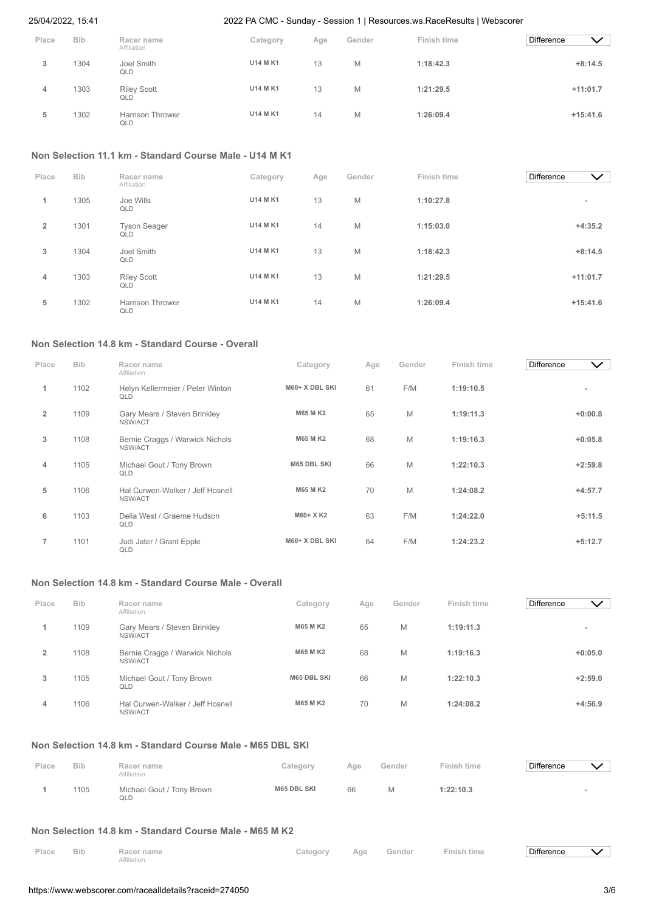| Place | <b>Bib</b> | Racer name                       | Category        | Age | Gender | Finish time | <b>Difference</b> | $\checkmark$ |
|-------|------------|----------------------------------|-----------------|-----|--------|-------------|-------------------|--------------|
| 3     | 1304       | Affiliation<br>Joel Smith<br>QLD | <b>U14 M K1</b> | 13  | M      | 1:18:42.3   |                   | $+8:14.5$    |
| 4     | 1303       | <b>Riley Scott</b><br>QLD        | <b>U14 M K1</b> | 13  | M      | 1:21:29.5   |                   | $+11:01.7$   |
| 5     | 1302       | <b>Harrison Thrower</b><br>QLD   | <b>U14 M K1</b> | 14  | M      | 1:26:09.4   |                   | $+15:41.6$   |

# **Non Selection 11.1 km - Standard Course Male - U14 M K1**

| Place          | <b>Bib</b> | Racer name<br>Affiliation      | Category        | Age | Gender | Finish time | <b>Difference</b><br>$\checkmark$ |
|----------------|------------|--------------------------------|-----------------|-----|--------|-------------|-----------------------------------|
| 1              | 1305       | Joe Wills<br>QLD               | <b>U14 M K1</b> | 13  | M      | 1:10:27.8   | $\overline{\phantom{a}}$          |
| $\overline{2}$ | 1301       | <b>Tyson Seager</b><br>QLD     | <b>U14 M K1</b> | 14  | M      | 1:15:03.0   | $+4:35.2$                         |
| 3              | 1304       | Joel Smith<br>QLD              | <b>U14 M K1</b> | 13  | M      | 1:18:42.3   | $+8:14.5$                         |
| 4              | 1303       | <b>Riley Scott</b><br>QLD      | <b>U14 M K1</b> | 13  | M      | 1:21:29.5   | $+11:01.7$                        |
| 5              | 1302       | <b>Harrison Thrower</b><br>QLD | <b>U14 M K1</b> | 14  | M      | 1:26:09.4   | $+15:41.6$                        |

# **Non Selection 14.8 km - Standard Course - Overall**

| Place          | <b>Bib</b> | Racer name<br>Affiliation                   | Category           | Age | Gender | Finish time | <b>Difference</b> | $\vee$    |
|----------------|------------|---------------------------------------------|--------------------|-----|--------|-------------|-------------------|-----------|
| 1              | 1102       | Helyn Kellermeier / Peter Winton<br>QLD     | M60+ X DBL SKI     | 61  | F/M    | 1:19:10.5   |                   |           |
| $\overline{2}$ | 1109       | Gary Mears / Steven Brinkley<br>NSW/ACT     | <b>M65 M K2</b>    | 65  | M      | 1:19:11.3   |                   | $+0:00.8$ |
| 3              | 1108       | Bernie Craggs / Warwick Nichols<br>NSW/ACT  | <b>M65 M K2</b>    | 68  | M      | 1:19:16.3   |                   | $+0:05.8$ |
| 4              | 1105       | Michael Gout / Tony Brown<br>QLD            | <b>M65 DBL SKI</b> | 66  | M      | 1:22:10.3   |                   | $+2:59.8$ |
| 5              | 1106       | Hal Curwen-Walker / Jeff Hosnell<br>NSW/ACT | <b>M65 M K2</b>    | 70  | M      | 1:24:08.2   |                   | $+4:57.7$ |
| 6              | 1103       | Delia West / Graeme Hudson<br>QLD           | M60+ X K2          | 63  | F/M    | 1:24:22.0   |                   | $+5:11.5$ |
| $\overline{7}$ | 1101       | Judi Jater / Grant Epple<br>QLD             | M60+ X DBL SKI     | 64  | F/M    | 1:24:23.2   |                   | $+5:12.7$ |

# **Non Selection 14.8 km - Standard Course Male - Overall**

| Place | <b>Bib</b> | Racer name<br>Affiliation                   | Category           | Age | Gender | Finish time | <b>Difference</b><br>$\checkmark$ |
|-------|------------|---------------------------------------------|--------------------|-----|--------|-------------|-----------------------------------|
|       | 1109       | Gary Mears / Steven Brinkley<br>NSW/ACT     | <b>M65 MK2</b>     | 65  | Μ      | 1:19:11.3   | -                                 |
|       | 1108       | Bernie Craggs / Warwick Nichols<br>NSW/ACT  | <b>M65 MK2</b>     | 68  | Μ      | 1:19:16.3   | $+0:05.0$                         |
| 3     | 1105       | Michael Gout / Tony Brown<br>QLD            | <b>M65 DBL SKI</b> | 66  | Μ      | 1:22:10.3   | $+2:59.0$                         |
| 4     | 1106       | Hal Curwen-Walker / Jeff Hosnell<br>NSW/ACT | <b>M65 M K2</b>    | 70  | Μ      | 1:24:08.2   | $+4:56.9$                         |

# **Non Selection 14.8 km - Standard Course Male - M65 DBL SKI**

| Place | <b>Bib</b> | Racer name<br>Affiliation        | Category           | Age | Gender | Finish time | <b>Difference</b> |  |
|-------|------------|----------------------------------|--------------------|-----|--------|-------------|-------------------|--|
|       | 1105       | Michael Gout / Tony Brown<br>QLD | <b>M65 DBL SKI</b> | 66  |        | 1:22:10.3   |                   |  |

# **Non Selection 14.8 km - Standard Course Male - M65 M K2**

| Place Bib | Racer name  |  | Category Age Gender Finish time | Difference |  |
|-----------|-------------|--|---------------------------------|------------|--|
|           | Affiliation |  |                                 |            |  |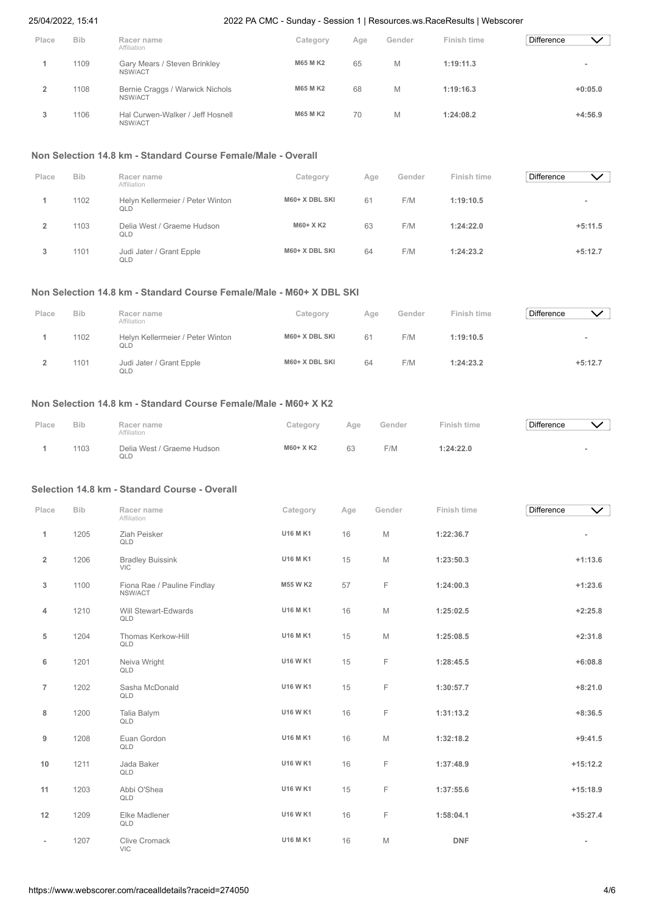| Place | <b>Bib</b> | Racer name                                  | Category        | Age | Gender | Finish time | <b>Difference</b> | ╲╱        |
|-------|------------|---------------------------------------------|-----------------|-----|--------|-------------|-------------------|-----------|
|       | 1109       | Affiliation<br>Gary Mears / Steven Brinkley | <b>M65 M K2</b> | 65  | M      | 1:19:11.3   |                   |           |
|       | 1108       | NSW/ACT                                     | <b>M65 M K2</b> | 68  | M      | 1:19:16.3   |                   | $+0:05.0$ |
|       |            | Bernie Craggs / Warwick Nichols<br>NSW/ACT  |                 |     |        |             |                   |           |
| 3     | 1106       | Hal Curwen-Walker / Jeff Hosnell<br>NSW/ACT | <b>M65 M K2</b> | 70  | M      | 1:24:08.2   |                   | $+4:56.9$ |

#### **Non Selection 14.8 km - Standard Course Female/Male - Overall**

| Place | <b>Bib</b> | Racer name<br>Affiliation               | Category       | Age | Gender | Finish time | <b>Difference</b><br>$\checkmark$ ) |  |
|-------|------------|-----------------------------------------|----------------|-----|--------|-------------|-------------------------------------|--|
|       | 1102       | Helvn Kellermeier / Peter Winton<br>QLD | M60+ X DBL SKI | 61  | F/M    | 1:19:10.5   | -                                   |  |
|       | 1103       | Delia West / Graeme Hudson<br>QLD       | M60+ X K2      | 63  | F/M    | 1:24:22.0   | $+5:11.5$                           |  |
| 3     | 1101       | Judi Jater / Grant Epple<br>QLD         | M60+ X DBL SKI | 64  | F/M    | 1:24:23.2   | $+5:12.7$                           |  |

# **Non Selection 14.8 km - Standard Course Female/Male - M60+ X DBL SKI**

| Place | <b>Bib</b> | Racer name<br>Affiliation               | Category       | Age | Gender | Finish time | <b>Difference</b> | $\vee$    |
|-------|------------|-----------------------------------------|----------------|-----|--------|-------------|-------------------|-----------|
|       | 1102       | Helyn Kellermeier / Peter Winton<br>QLD | M60+ X DBL SKI | 61  | F/M    | 1:19:10.5   |                   |           |
|       | 1101       | Judi Jater / Grant Epple<br>QLD         | M60+ X DBL SKI | 64  | F/M    | 1:24:23.2   |                   | $+5:12.7$ |

# **Non Selection 14.8 km - Standard Course Female/Male - M60+ X K2**

| Place | <b>Bib</b> | Racer name<br>Affiliation         | Category  | Age | Gender | Finish time | <b>Difference</b> |  |
|-------|------------|-----------------------------------|-----------|-----|--------|-------------|-------------------|--|
|       | 1103       | Delia West / Graeme Hudson<br>QLD | M60+ X K2 | 63  | F/M    | 1:24:22.0   |                   |  |

### **Selection 14.8 km - Standard Course - Overall**

| Place                    | <b>Bib</b> | Racer name<br>Affiliation              | Category        | Age | Gender | Finish time | Difference | $\checkmark$ |
|--------------------------|------------|----------------------------------------|-----------------|-----|--------|-------------|------------|--------------|
| 1                        | 1205       | Ziah Peisker<br>QLD                    | U16 M K1        | 16  | M      | 1:22:36.7   |            |              |
| $\overline{2}$           | 1206       | <b>Bradley Buissink</b><br><b>VIC</b>  | U16 M K1        | 15  | M      | 1:23:50.3   |            | $+1:13.6$    |
| 3                        | 1100       | Fiona Rae / Pauline Findlay<br>NSW/ACT | M55 W K2        | 57  | F.     | 1:24:00.3   |            | $+1:23.6$    |
| 4                        | 1210       | Will Stewart-Edwards<br>QLD            | U16 M K1        | 16  | M      | 1:25:02.5   |            | $+2:25.8$    |
| 5                        | 1204       | Thomas Kerkow-Hill<br>QLD              | U16 M K1        | 15  | M      | 1:25:08.5   |            | $+2:31.8$    |
| 6                        | 1201       | Neiva Wright<br>QLD                    | U16 W K1        | 15  | E      | 1:28:45.5   |            | $+6:08.8$    |
| $\overline{7}$           | 1202       | Sasha McDonald<br>QLD                  | U16 W K1        | 15  | F.     | 1:30:57.7   |            | $+8:21.0$    |
| 8                        | 1200       | Talia Balym<br>QLD                     | U16 W K1        | 16  | E      | 1:31:13.2   |            | $+8:36.5$    |
| 9                        | 1208       | Euan Gordon<br>QLD                     | U16 M K1        | 16  | M      | 1:32:18.2   |            | $+9:41.5$    |
| 10                       | 1211       | Jada Baker<br>QLD                      | U16 W K1        | 16  | E      | 1:37:48.9   |            | $+15:12.2$   |
| 11                       | 1203       | Abbi O'Shea<br>QLD                     | U16 W K1        | 15  | F.     | 1:37:55.6   |            | $+15:18.9$   |
| 12                       | 1209       | Elke Madlener<br>QLD                   | U16 W K1        | 16  | F      | 1:58:04.1   |            | $+35:27.4$   |
| $\overline{\phantom{a}}$ | 1207       | Clive Cromack<br><b>VIC</b>            | <b>U16 M K1</b> | 16  | M      | <b>DNF</b>  |            |              |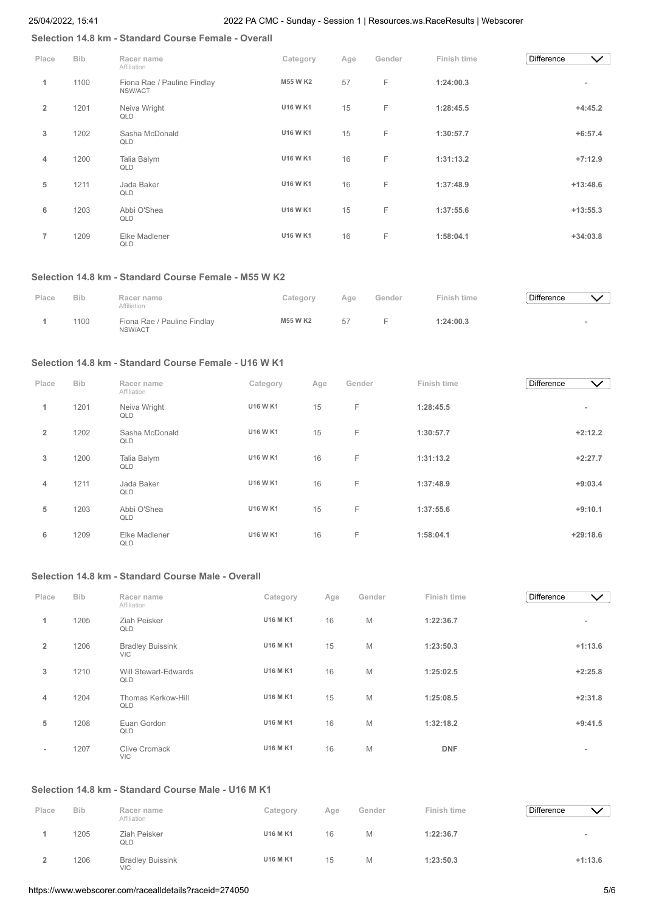# **Selection 14.8 km - Standard Course Female - Overall**

| Place          | <b>Bib</b> | Racer name<br>Affiliation              | Category        | Age | Gender | Finish time | <b>Difference</b> | $\checkmark$ |
|----------------|------------|----------------------------------------|-----------------|-----|--------|-------------|-------------------|--------------|
| 1              | 1100       | Fiona Rae / Pauline Findlay<br>NSW/ACT | <b>M55 W K2</b> | 57  | F      | 1:24:00.3   |                   |              |
| $\overline{2}$ | 1201       | Neiva Wright<br>QLD                    | <b>U16 W K1</b> | 15  | F.     | 1:28:45.5   |                   | $+4:45.2$    |
| 3              | 1202       | Sasha McDonald<br>QLD                  | U16 W K1        | 15  | F      | 1:30:57.7   |                   | $+6:57.4$    |
| 4              | 1200       | Talia Balym<br>QLD                     | <b>U16 W K1</b> | 16  | F      | 1:31:13.2   |                   | $+7:12.9$    |
| 5              | 1211       | Jada Baker<br>QLD                      | <b>U16 W K1</b> | 16  | F      | 1:37:48.9   |                   | $+13:48.6$   |
| 6              | 1203       | Abbi O'Shea<br>QLD                     | <b>U16 W K1</b> | 15  | F      | 1:37:55.6   |                   | $+13:55.3$   |
| $\overline{7}$ | 1209       | Elke Madlener<br>QLD                   | <b>U16 W K1</b> | 16  | F      | 1:58:04.1   |                   | $+34:03.8$   |

#### **Selection 14.8 km - Standard Course Female - M55 W K2**

| Place | <b>Bib</b> | Racer name<br>Affiliation              | Category        | Age | Gender | Finish time | <b>Difference</b> |  |
|-------|------------|----------------------------------------|-----------------|-----|--------|-------------|-------------------|--|
|       | 1100       | Fiona Rae / Pauline Findlay<br>NSW/ACT | <b>M55 W K2</b> | 57  |        | 1:24:00.3   |                   |  |

## **Selection 14.8 km - Standard Course Female - U16 W K1**

| Place          | <b>Bib</b> | Racer name<br>Affiliation | Category        | Age | Gender | Finish time | Difference | $\vee$                   |
|----------------|------------|---------------------------|-----------------|-----|--------|-------------|------------|--------------------------|
| 1              | 1201       | Neiva Wright<br>QLD       | <b>U16 W K1</b> | 15  | F      | 1:28:45.5   |            | $\overline{\phantom{a}}$ |
| $\overline{2}$ | 1202       | Sasha McDonald<br>QLD     | <b>U16 W K1</b> | 15  | F      | 1:30:57.7   |            | $+2:12.2$                |
| 3              | 1200       | Talia Balym<br>QLD        | U16 W K1        | 16  | F      | 1:31:13.2   |            | $+2:27.7$                |
| 4              | 1211       | Jada Baker<br>QLD         | <b>U16 W K1</b> | 16  | F      | 1:37:48.9   |            | $+9:03.4$                |
| 5              | 1203       | Abbi O'Shea<br>QLD        | U16 W K1        | 15  | F      | 1:37:55.6   |            | $+9:10.1$                |
| 6              | 1209       | Elke Madlener<br>QLD      | <b>U16 W K1</b> | 16  | F      | 1:58:04.1   |            | $+29:18.6$               |

# **Selection 14.8 km - Standard Course Male - Overall**

| Place          | <b>Bib</b> | Racer name<br>Affiliation             | Category        | Age | Gender | Finish time | <b>Difference</b> | $\checkmark$ |
|----------------|------------|---------------------------------------|-----------------|-----|--------|-------------|-------------------|--------------|
| 1              | 1205       | Ziah Peisker<br>QLD                   | <b>U16 M K1</b> | 16  | M      | 1:22:36.7   |                   |              |
| $\overline{2}$ | 1206       | <b>Bradley Buissink</b><br><b>VIC</b> | <b>U16 M K1</b> | 15  | M      | 1:23:50.3   |                   | $+1:13.6$    |
| 3              | 1210       | Will Stewart-Edwards<br>QLD           | <b>U16 M K1</b> | 16  | M      | 1:25:02.5   |                   | $+2:25.8$    |
| 4              | 1204       | Thomas Kerkow-Hill<br>QLD             | <b>U16 M K1</b> | 15  | M      | 1:25:08.5   |                   | $+2:31.8$    |
| 5              | 1208       | Euan Gordon<br>QLD                    | <b>U16 M K1</b> | 16  | M      | 1:32:18.2   |                   | $+9:41.5$    |
| ٠.             | 1207       | <b>Clive Cromack</b><br><b>VIC</b>    | <b>U16 M K1</b> | 16  | M      | <b>DNF</b>  |                   | $\sim$       |

# **Selection 14.8 km - Standard Course Male - U16 M K1**

| Place | <b>Bib</b> | Racer name<br>Affiliation             | Category        | Age | Gender | Finish time | <b>Difference</b> |                          |
|-------|------------|---------------------------------------|-----------------|-----|--------|-------------|-------------------|--------------------------|
|       | 1205       | Ziah Peisker<br>QLD                   | <b>U16 M K1</b> | 16  | М      | 1:22:36.7   |                   | $\overline{\phantom{a}}$ |
|       | 1206       | <b>Bradley Buissink</b><br><b>VIC</b> | <b>U16 M K1</b> | 15  | М      | 1:23:50.3   |                   | $+1:13.6$                |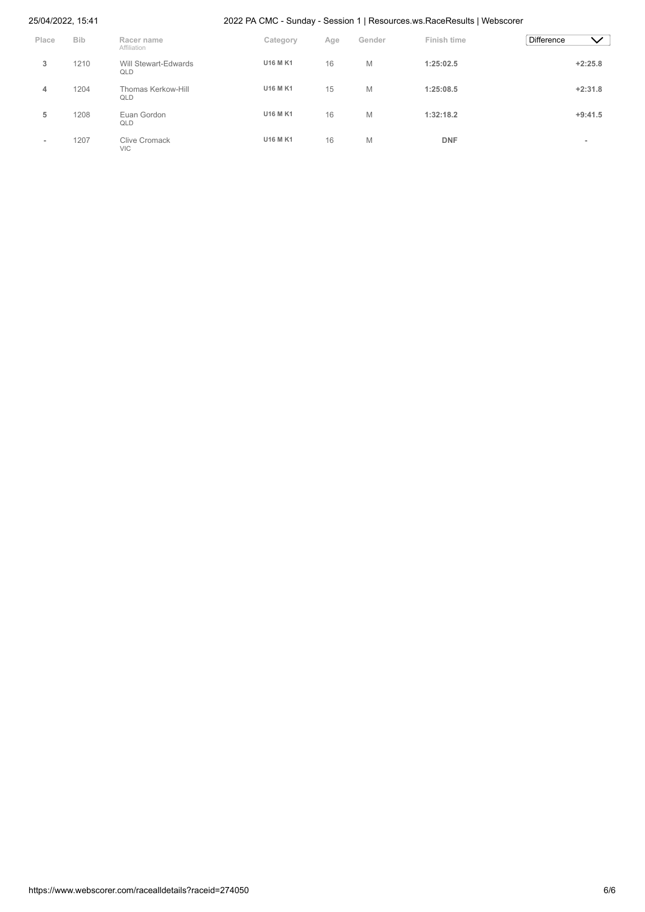| Place  | <b>Bib</b> | Racer name<br>Affiliation   | Category        | Age | Gender | Finish time | <b>Difference</b><br>$\checkmark$ |
|--------|------------|-----------------------------|-----------------|-----|--------|-------------|-----------------------------------|
| 3      | 1210       | Will Stewart-Edwards<br>QLD | <b>U16 M K1</b> | 16  | M      | 1:25:02.5   | $+2:25.8$                         |
| 4      | 1204       | Thomas Kerkow-Hill<br>QLD   | <b>U16 M K1</b> | 15  | M      | 1:25:08.5   | $+2:31.8$                         |
| 5      | 1208       | Euan Gordon<br>QLD          | <b>U16 M K1</b> | 16  | M      | 1:32:18.2   | $+9:41.5$                         |
| $\sim$ | 1207       | Clive Cromack<br><b>VIC</b> | <b>U16 M K1</b> | 16  | M      | <b>DNF</b>  | $\overline{\phantom{a}}$          |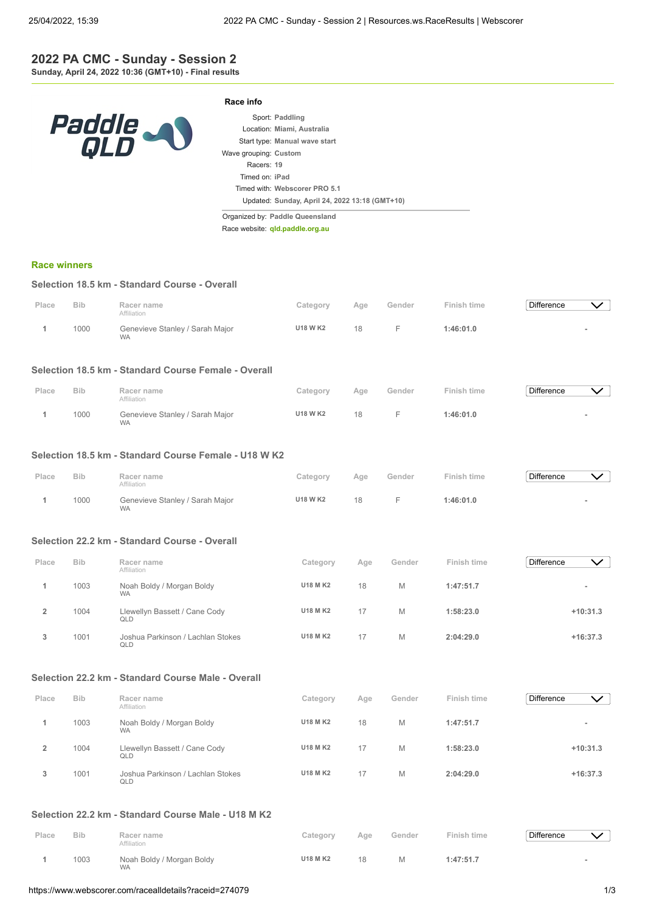## **2022 PA CMC - Sunday - Session 2 Sunday, April 24, 2022 10:36 (GMT+10) - Final results**

| <i>Paddle</i><br>QLD |
|----------------------|
|----------------------|

|                       | Sport: Paddling                                |
|-----------------------|------------------------------------------------|
|                       | Location: Miami, Australia                     |
|                       | Start type: Manual wave start                  |
| Wave grouping: Custom |                                                |
| Racers: 19            |                                                |
| Timed on: iPad        |                                                |
|                       | Timed with: Webscorer PRO 5.1                  |
|                       | Updated: Sunday, April 24, 2022 13:18 (GMT+10) |

Organized by: **Paddle Queensland**

**Race info**

Race website: **[qld.paddle.org.au](http://qld.paddle.org.au/)**

#### **[Race winners](https://www.webscorer.com/race?raceid=274079)**

#### **Selection 18.5 km - Standard Course - Overall**

| Place | <b>Bib</b> | Racer name<br>Affiliation                    | Category        | Aae | Gender    | Finish time | <b>Difference</b> |  |
|-------|------------|----------------------------------------------|-----------------|-----|-----------|-------------|-------------------|--|
|       | 1000       | Genevieve Stanley / Sarah Major<br><b>WA</b> | <b>U18 W K2</b> | 18  | <b>L.</b> | 1:46:01.0   |                   |  |

## **Selection 18.5 km - Standard Course Female - Overall**

| Place | <b>Bib</b> | Racer name                                                  | Category        | Age | Gender | Finish time | <b>Difference</b> |  |
|-------|------------|-------------------------------------------------------------|-----------------|-----|--------|-------------|-------------------|--|
|       | 1000       | Affiliation<br>Genevieve Stanley / Sarah Major<br><b>WA</b> | <b>U18 W K2</b> | 18  |        | 1:46:01.0   |                   |  |

#### **Selection 18.5 km - Standard Course Female - U18 W K2**

| Place | <b>Bib</b> | Racer name<br>Affiliation                    | Category | Age | Gender | Finish time | <b>Difference</b> |  |
|-------|------------|----------------------------------------------|----------|-----|--------|-------------|-------------------|--|
|       | 1000       | Genevieve Stanley / Sarah Major<br><b>WA</b> | U18 W K2 | 18  |        | 1:46:01.0   |                   |  |

# **Selection 22.2 km - Standard Course - Overall**

| Place | <b>Bib</b> | Racer name<br>Affiliation                | Category        | Age | Gender | Finish time | <b>Difference</b><br>$\checkmark$ |
|-------|------------|------------------------------------------|-----------------|-----|--------|-------------|-----------------------------------|
|       | 1003       | Noah Boldy / Morgan Boldy<br><b>WA</b>   | <b>U18 M K2</b> | 18  | M      | 1:47:51.7   |                                   |
|       | 1004       | Llewellyn Bassett / Cane Cody<br>QLD     | <b>U18 M K2</b> |     | M      | 1:58:23.0   | $+10:31.3$                        |
| 3     | 1001       | Joshua Parkinson / Lachlan Stokes<br>QLD | <b>U18 M K2</b> | 17  | M      | 2:04:29.0   | $+16:37.3$                        |

### **Selection 22.2 km - Standard Course Male - Overall**

| Place | <b>Bib</b> | Racer name                                            | Category        | Age | Gender | Finish time | <b>Difference</b> | $\checkmark$ |
|-------|------------|-------------------------------------------------------|-----------------|-----|--------|-------------|-------------------|--------------|
|       | 1003       | Affiliation<br>Noah Boldy / Morgan Boldy<br><b>WA</b> | <b>U18 M K2</b> | 18  | M      | 1:47:51.7   |                   |              |
|       | 1004       | Llewellyn Bassett / Cane Cody<br>QLD                  | <b>U18 M K2</b> | 17  | M      | 1:58:23.0   | $+10:31.3$        |              |
|       | 1001       | Joshua Parkinson / Lachlan Stokes<br>QLD              | <b>U18 M K2</b> | 17  | M      | 2:04:29.0   | $+16:37.3$        |              |

#### **Selection 22.2 km - Standard Course Male - U18 M K2**

| Place | <b>Bib</b> | Racer name<br>Affiliation              | Category        | Age | Gender | Finish time | Difference |  |
|-------|------------|----------------------------------------|-----------------|-----|--------|-------------|------------|--|
|       | 1003       | Noah Boldy / Morgan Boldy<br><b>WA</b> | <b>U18 M K2</b> | 18  | M      | 1:47:51.7   |            |  |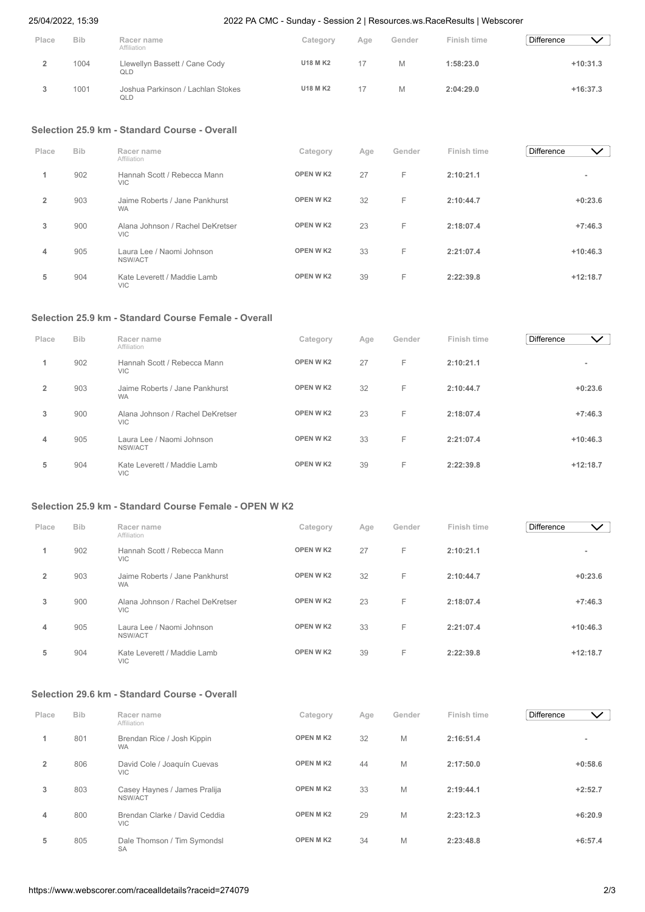| 25/04/2022, 15:39 |  |
|-------------------|--|
|-------------------|--|

| Place          | <b>Bib</b> | Racer name<br>Affiliation                      | Category        | Age | Gender | Finish time | <b>Difference</b><br>$\checkmark$ |
|----------------|------------|------------------------------------------------|-----------------|-----|--------|-------------|-----------------------------------|
| $\overline{2}$ | 1004       | Llewellyn Bassett / Cane Cody<br>QLD           | <b>U18 M K2</b> | 17  | M      | 1:58:23.0   | $+10:31.3$                        |
| 3              | 1001       | Joshua Parkinson / Lachlan Stokes<br>QLD       | <b>U18 M K2</b> | 17  | M      | 2:04:29.0   | $+16:37.3$                        |
|                |            | Selection 25.9 km - Standard Course - Overall  |                 |     |        |             |                                   |
| Place          | <b>Bib</b> | Racer name<br>Affiliation                      | Category        | Age | Gender | Finish time | <b>Difference</b><br>$\vee$       |
| 1              | 902        | Hannah Scott / Rebecca Mann<br><b>VIC</b>      | OPEN W K2       | 27  | F      | 2:10:21.1   | $\overline{\phantom{a}}$          |
| $\overline{2}$ | 903        | Jaime Roberts / Jane Pankhurst<br><b>WA</b>    | <b>OPEN WK2</b> | 32  | F      | 2:10:44.7   | $+0:23.6$                         |
| 3              | 900        | Alana Johnson / Rachel DeKretser<br><b>VIC</b> | <b>OPEN WK2</b> | 23  | F      | 2:18:07.4   | $+7:46.3$                         |
| 4              | 905        | Laura Lee / Naomi Johnson<br>NSW/ACT           | <b>OPEN WK2</b> | 33  | F      | 2:21:07.4   | $+10:46.3$                        |
| 5              | 904        | Kate Leverett / Maddie Lamb<br><b>VIC</b>      | <b>OPEN WK2</b> | 39  | F      | 2:22:39.8   | $+12:18.7$                        |

# **Selection 25.9 km - Standard Course Female - Overall**

| Place          | <b>Bib</b> | Racer name<br>Affiliation                      | Category  | Age | Gender | Finish time | <b>Difference</b> | $\checkmark$ |
|----------------|------------|------------------------------------------------|-----------|-----|--------|-------------|-------------------|--------------|
|                | 902        | Hannah Scott / Rebecca Mann<br><b>VIC</b>      | OPEN W K2 | 27  | F.     | 2:10:21.1   |                   |              |
| $\overline{2}$ | 903        | Jaime Roberts / Jane Pankhurst<br><b>WA</b>    | OPEN W K2 | 32  | F.     | 2:10:44.7   |                   | $+0:23.6$    |
| 3              | 900        | Alana Johnson / Rachel DeKretser<br><b>VIC</b> | OPEN W K2 | 23  | F      | 2:18:07.4   |                   | $+7:46.3$    |
| 4              | 905        | Laura Lee / Naomi Johnson<br>NSW/ACT           | OPEN W K2 | 33  | F.     | 2:21:07.4   | $+10:46.3$        |              |
| 5              | 904        | Kate Leverett / Maddie Lamb<br><b>VIC</b>      | OPEN W K2 | 39  | F      | 2:22:39.8   | $+12:18.7$        |              |

## **Selection 25.9 km - Standard Course Female - OPEN W K2**

| Place          | <b>Bib</b> | Racer name<br>Affiliation                   | Category        | Age | Gender | Finish time | Difference | $\checkmark$ |
|----------------|------------|---------------------------------------------|-----------------|-----|--------|-------------|------------|--------------|
| 1              | 902        | Hannah Scott / Rebecca Mann<br><b>VIC</b>   | <b>OPEN WK2</b> | 27  | F      | 2:10:21.1   | ۰          |              |
| $\overline{2}$ | 903        | Jaime Roberts / Jane Pankhurst<br><b>WA</b> | OPEN W K2       | 32  | F      | 2:10:44.7   | $+0:23.6$  |              |
| 3              | 900        | Alana Johnson / Rachel DeKretser<br>VIC.    | OPEN W K2       | 23  | F      | 2:18:07.4   | $+7:46.3$  |              |
| 4              | 905        | Laura Lee / Naomi Johnson<br>NSW/ACT        | OPEN W K2       | 33  | F      | 2:21:07.4   | $+10:46.3$ |              |
| 5              | 904        | Kate Leverett / Maddie Lamb<br><b>VIC</b>   | OPEN W K2       | 39  | F      | 2:22:39.8   | $+12:18.7$ |              |

# **Selection 29.6 km - Standard Course - Overall**

| Place          | <b>Bib</b> | Racer name<br>Affiliation                   | Category        | Age | Gender | Finish time | <b>Difference</b> | $\checkmark$ )           |
|----------------|------------|---------------------------------------------|-----------------|-----|--------|-------------|-------------------|--------------------------|
|                | 801        | Brendan Rice / Josh Kippin<br><b>WA</b>     | <b>OPEN MK2</b> | 32  | M      | 2:16:51.4   |                   | $\overline{\phantom{a}}$ |
| $\overline{2}$ | 806        | David Cole / Joaquín Cuevas<br><b>VIC</b>   | <b>OPEN MK2</b> | 44  | M      | 2:17:50.0   |                   | $+0:58.6$                |
| 3              | 803        | Casey Haynes / James Pralija<br>NSW/ACT     | <b>OPEN MK2</b> | 33  | M      | 2:19:44.1   |                   | $+2:52.7$                |
| 4              | 800        | Brendan Clarke / David Ceddia<br><b>VIC</b> | <b>OPEN MK2</b> | 29  | M      | 2:23:12.3   |                   | $+6:20.9$                |
| 5              | 805        | Dale Thomson / Tim Symondsl<br><b>SA</b>    | <b>OPEN MK2</b> | 34  | M      | 2:23:48.8   |                   | $+6:57.4$                |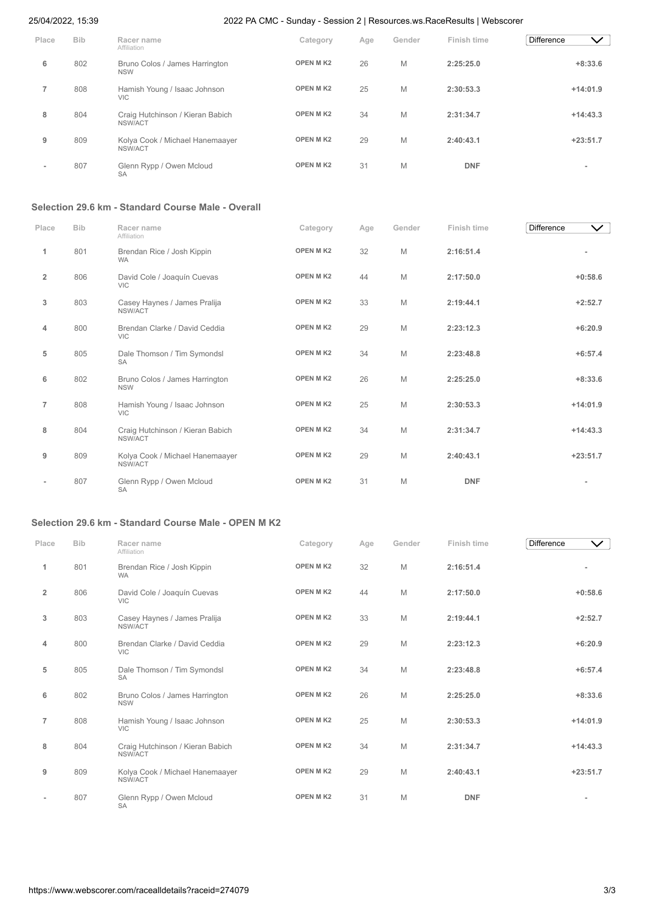| Place | <b>Bib</b> | Racer name<br>Affiliation                    | Category        | Age | Gender | Finish time | Difference<br>$\checkmark$ |
|-------|------------|----------------------------------------------|-----------------|-----|--------|-------------|----------------------------|
| 6     | 802        | Bruno Colos / James Harrington<br><b>NSW</b> | <b>OPEN MK2</b> | 26  | M      | 2:25:25.0   | $+8:33.6$                  |
|       | 808        | Hamish Young / Isaac Johnson<br><b>VIC</b>   | <b>OPEN MK2</b> | 25  | M      | 2:30:53.3   | $+14:01.9$                 |
| 8     | 804        | Craig Hutchinson / Kieran Babich<br>NSW/ACT  | <b>OPEN MK2</b> | 34  | M      | 2:31:34.7   | $+14:43.3$                 |
| 9     | 809        | Kolya Cook / Michael Hanemaayer<br>NSW/ACT   | <b>OPEN MK2</b> | 29  | M      | 2:40:43.1   | $+23:51.7$                 |
| ۰     | 807        | Glenn Rypp / Owen Mcloud<br><b>SA</b>        | <b>OPEN MK2</b> | 31  | M      | <b>DNF</b>  | ۰                          |

# **Selection 29.6 km - Standard Course Male - Overall**

| Place          | <b>Bib</b> | Racer name<br>Affiliation                    | Category        | Age | Gender | Finish time | <b>Difference</b><br>$\checkmark$ |
|----------------|------------|----------------------------------------------|-----------------|-----|--------|-------------|-----------------------------------|
| 1              | 801        | Brendan Rice / Josh Kippin<br><b>WA</b>      | <b>OPEN MK2</b> | 32  | M      | 2:16:51.4   |                                   |
| $\overline{2}$ | 806        | David Cole / Joaquín Cuevas<br><b>VIC</b>    | OPEN MK2        | 44  | M      | 2:17:50.0   | $+0:58.6$                         |
| 3              | 803        | Casey Haynes / James Pralija<br>NSW/ACT      | <b>OPEN MK2</b> | 33  | M      | 2:19:44.1   | $+2:52.7$                         |
| 4              | 800        | Brendan Clarke / David Ceddia<br><b>VIC</b>  | OPEN MK2        | 29  | M      | 2:23:12.3   | $+6:20.9$                         |
| 5              | 805        | Dale Thomson / Tim Symondsl<br><b>SA</b>     | <b>OPEN MK2</b> | 34  | M      | 2:23:48.8   | $+6:57.4$                         |
| 6              | 802        | Bruno Colos / James Harrington<br><b>NSW</b> | OPEN MK2        | 26  | M      | 2:25:25.0   | $+8:33.6$                         |
| $\overline{7}$ | 808        | Hamish Young / Isaac Johnson<br><b>VIC</b>   | OPEN MK2        | 25  | M      | 2:30:53.3   | $+14:01.9$                        |
| 8              | 804        | Craig Hutchinson / Kieran Babich<br>NSW/ACT  | OPEN MK2        | 34  | M      | 2:31:34.7   | $+14:43.3$                        |
| 9              | 809        | Kolya Cook / Michael Hanemaayer<br>NSW/ACT   | <b>OPEN MK2</b> | 29  | M      | 2:40:43.1   | $+23:51.7$                        |
|                | 807        | Glenn Rypp / Owen Mcloud<br><b>SA</b>        | <b>OPEN MK2</b> | 31  | M      | <b>DNF</b>  |                                   |

# **Selection 29.6 km - Standard Course Male - OPEN M K2**

| Place          | <b>Bib</b> | Racer name<br>Affiliation                    | Category        | Age | Gender | Finish time | Difference<br>$\checkmark$ |
|----------------|------------|----------------------------------------------|-----------------|-----|--------|-------------|----------------------------|
| 1              | 801        | Brendan Rice / Josh Kippin<br><b>WA</b>      | OPEN MK2        | 32  | M      | 2:16:51.4   |                            |
| $\overline{2}$ | 806        | David Cole / Joaquín Cuevas<br><b>VIC</b>    | <b>OPEN MK2</b> | 44  | M      | 2:17:50.0   | $+0:58.6$                  |
| 3              | 803        | Casey Haynes / James Pralija<br>NSW/ACT      | OPEN MK2        | 33  | M      | 2:19:44.1   | $+2:52.7$                  |
| 4              | 800        | Brendan Clarke / David Ceddia<br><b>VIC</b>  | <b>OPEN MK2</b> | 29  | M      | 2:23:12.3   | $+6:20.9$                  |
| 5              | 805        | Dale Thomson / Tim Symondsl<br><b>SA</b>     | OPEN MK2        | 34  | M      | 2:23:48.8   | $+6:57.4$                  |
| 6              | 802        | Bruno Colos / James Harrington<br><b>NSW</b> | <b>OPEN MK2</b> | 26  | M      | 2:25:25.0   | $+8:33.6$                  |
| $\overline{7}$ | 808        | Hamish Young / Isaac Johnson<br><b>VIC</b>   | <b>OPEN MK2</b> | 25  | M      | 2:30:53.3   | $+14:01.9$                 |
| 8              | 804        | Craig Hutchinson / Kieran Babich<br>NSW/ACT  | <b>OPEN MK2</b> | 34  | M      | 2:31:34.7   | $+14:43.3$                 |
| 9              | 809        | Kolya Cook / Michael Hanemaayer<br>NSW/ACT   | <b>OPEN MK2</b> | 29  | M      | 2:40:43.1   | $+23:51.7$                 |
|                | 807        | Glenn Rypp / Owen Mcloud<br><b>SA</b>        | <b>OPEN MK2</b> | 31  | M      | <b>DNF</b>  |                            |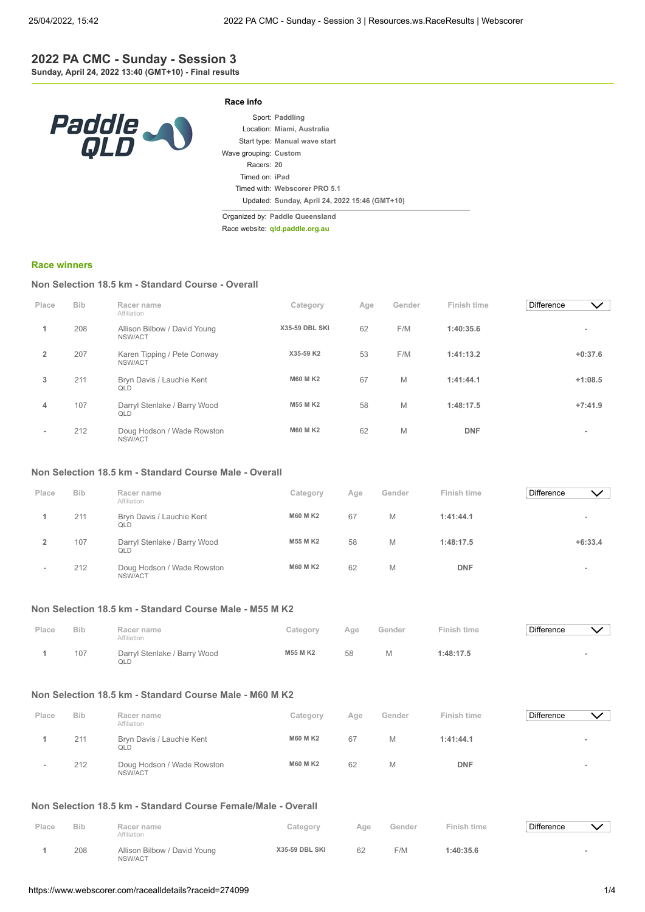## **2022 PA CMC - Sunday - Session 3 Sunday, April 24, 2022 13:40 (GMT+10) - Final results**



|                       | Sport: Paddling                                |
|-----------------------|------------------------------------------------|
|                       | Location: Miami, Australia                     |
|                       | Start type: Manual wave start                  |
| Wave grouping: Custom |                                                |
| Racers: 20            |                                                |
| Timed on: iPad        |                                                |
|                       | Timed with: Webscorer PRO 5.1                  |
|                       | Updated: Sunday, April 24, 2022 15:46 (GMT+10) |

Organized by: **Paddle Queensland**

**Race info**

Race website: **[qld.paddle.org.au](http://qld.paddle.org.au/)**

#### **[Race winners](https://www.webscorer.com/race?raceid=274099)**

## **Non Selection 18.5 km - Standard Course - Overall**

| Place                    | <b>Bib</b> | Racer name<br>Affiliation               | Category              | Age | Gender | Finish time | <b>Difference</b> | $\checkmark$             |
|--------------------------|------------|-----------------------------------------|-----------------------|-----|--------|-------------|-------------------|--------------------------|
|                          | 208        | Allison Bilbow / David Young<br>NSW/ACT | <b>X35-59 DBL SKI</b> | 62  | F/M    | 1:40:35.6   |                   | $\overline{\phantom{a}}$ |
| $\overline{2}$           | 207        | Karen Tipping / Pete Conway<br>NSW/ACT  | X35-59 K2             | 53  | F/M    | 1:41:13.2   |                   | $+0:37.6$                |
| 3                        | 211        | Bryn Davis / Lauchie Kent<br>QLD        | <b>M60 M K2</b>       | 67  | M      | 1:41:44.1   |                   | $+1:08.5$                |
| 4                        | 107        | Darryl Stenlake / Barry Wood<br>QLD     | <b>M55 MK2</b>        | 58  | M      | 1:48:17.5   |                   | $+7:41.9$                |
| $\overline{\phantom{a}}$ | 212        | Doug Hodson / Wade Rowston<br>NSW/ACT   | <b>M60 M K2</b>       | 62  | M      | <b>DNF</b>  |                   | $\overline{\phantom{a}}$ |

### **Non Selection 18.5 km - Standard Course Male - Overall**

| Place | <b>Bib</b> | Racer name<br>Affiliation             | Category        | Age | Gender | Finish time | <b>Difference</b> | $\checkmark$ |
|-------|------------|---------------------------------------|-----------------|-----|--------|-------------|-------------------|--------------|
|       | 211        | Bryn Davis / Lauchie Kent<br>QLD      | <b>M60 M K2</b> | 67  | M      | 1:41:44.1   |                   | $\,$         |
|       | 107        | Darryl Stenlake / Barry Wood<br>QLD   | <b>M55 M K2</b> | 58  | M      | 1:48:17.5   |                   | $+6:33.4$    |
| $\,$  | 212        | Doug Hodson / Wade Rowston<br>NSW/ACT | <b>M60 M K2</b> | 62  | M      | <b>DNF</b>  |                   |              |

#### **Non Selection 18.5 km - Standard Course Male - M55 M K2**

| Place | <b>Bib</b> | Racer name<br>Affiliation           | Category | Age | Gender | Finish time | Difference |  |
|-------|------------|-------------------------------------|----------|-----|--------|-------------|------------|--|
|       | 107        | Darryl Stenlake / Barry Wood<br>QLD | M55 M K2 | 58  | М      | 1:48:17.5   |            |  |

## **Non Selection 18.5 km - Standard Course Male - M60 M K2**

| Place  | <b>Bib</b> | Racer name                                      | Category        | Age | Gender | Finish time | <b>Difference</b> |  |
|--------|------------|-------------------------------------------------|-----------------|-----|--------|-------------|-------------------|--|
|        | 211        | Affiliation<br>Bryn Davis / Lauchie Kent<br>QLD | <b>M60 M K2</b> | 67  |        | 1:41:44.1   |                   |  |
| $\sim$ | 212        | Doug Hodson / Wade Rowston<br>NSW/ACT           | <b>M60 M K2</b> | 62  |        | <b>DNF</b>  |                   |  |

#### **Non Selection 18.5 km - Standard Course Female/Male - Overall**

| Place | <b>Bib</b> | Racer name<br>Affiliation               | Category              | Aae | Gender | Finish time | <b>Difference</b> |  |
|-------|------------|-----------------------------------------|-----------------------|-----|--------|-------------|-------------------|--|
|       | 208        | Allison Bilbow / David Young<br>NSW/ACT | <b>X35-59 DBL SKI</b> | 62  | F/M    | 1:40:35.6   |                   |  |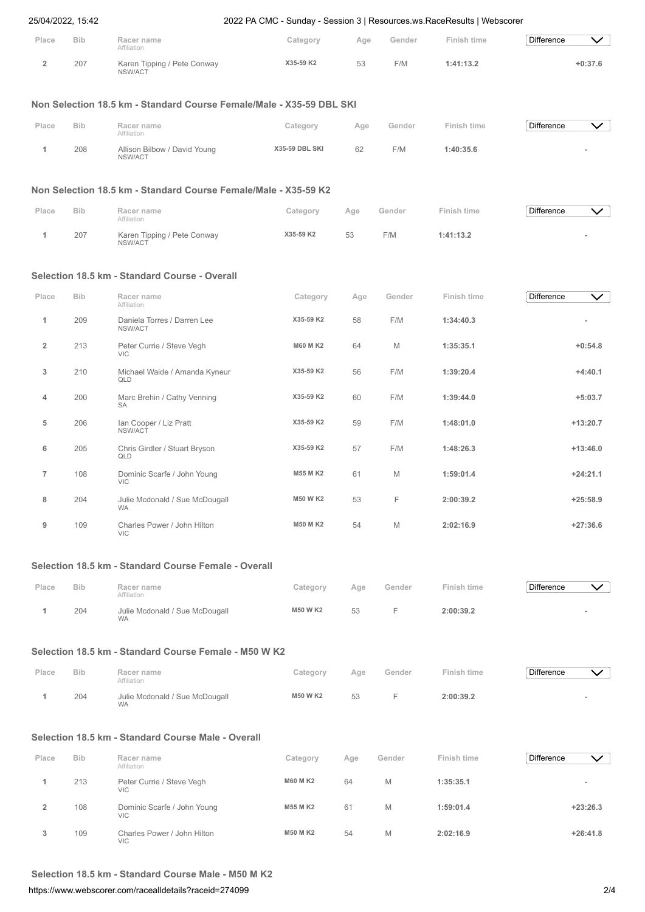|                | 25/04/2022, 15:42 |                                                                      | 2022 PA CMC - Sunday - Session 3   Resources.ws. Race Results   Webscorer |     |        |                    |                   |              |
|----------------|-------------------|----------------------------------------------------------------------|---------------------------------------------------------------------------|-----|--------|--------------------|-------------------|--------------|
| Place          | <b>Bib</b>        | Racer name<br>Affiliation                                            | Category                                                                  | Age | Gender | Finish time        | <b>Difference</b> | $\vee$       |
| $\overline{2}$ | 207               | Karen Tipping / Pete Conway<br>NSW/ACT                               | X35-59 K2                                                                 | 53  | F/M    | 1:41:13.2          | $+0:37.6$         |              |
|                |                   | Non Selection 18.5 km - Standard Course Female/Male - X35-59 DBL SKI |                                                                           |     |        |                    |                   |              |
| Place          | <b>Bib</b>        | Racer name<br>Affiliation                                            | Category                                                                  | Age | Gender | <b>Finish time</b> | <b>Difference</b> | $\checkmark$ |
| 1              | 208               | Allison Bilbow / David Young<br>NSW/ACT                              | X35-59 DBL SKI                                                            | 62  | F/M    | 1:40:35.6          |                   |              |
|                |                   | Non Selection 18.5 km - Standard Course Female/Male - X35-59 K2      |                                                                           |     |        |                    |                   |              |
| Place          | <b>Bib</b>        | Racer name<br>Affiliation                                            | Category                                                                  | Age | Gender | Finish time        | <b>Difference</b> | $\checkmark$ |
| 1              | 207               | Karen Tipping / Pete Conway<br>NSW/ACT                               | X35-59 K2                                                                 | 53  | F/M    | 1:41:13.2          |                   |              |
|                |                   | Selection 18.5 km - Standard Course - Overall                        |                                                                           |     |        |                    |                   |              |
| Place          | <b>Bib</b>        | Racer name<br>Affiliation                                            | Category                                                                  | Age | Gender | Finish time        | <b>Difference</b> | $\vee$       |
| 1              | 209               | Daniela Torres / Darren Lee<br>NSW/ACT                               | X35-59 K2                                                                 | 58  | F/M    | 1:34:40.3          |                   |              |
| $\overline{2}$ | 213               | Peter Currie / Steve Vegh<br><b>VIC</b>                              | <b>M60 M K2</b>                                                           | 64  | M      | 1:35:35.1          | $+0:54.8$         |              |
| 3              | 210               | Michael Waide / Amanda Kyneur<br>QLD                                 | X35-59 K2                                                                 | 56  | F/M    | 1:39:20.4          | $+4:40.1$         |              |
| 4              | 200               | Marc Brehin / Cathy Venning<br><b>SA</b>                             | X35-59 K2                                                                 | 60  | F/M    | 1:39:44.0          | $+5:03.7$         |              |
| 5              | 206               | Ian Cooper / Liz Pratt<br>NSW/ACT                                    | X35-59 K2                                                                 | 59  | F/M    | 1:48:01.0          | $+13:20.7$        |              |
| 6              | 205               | Chris Girdler / Stuart Bryson<br>QLD                                 | X35-59 K2                                                                 | 57  | F/M    | 1:48:26.3          | $+13:46.0$        |              |
| $\overline{7}$ | 108               | Dominic Scarfe / John Young<br>VIC                                   | M55 M K2                                                                  | 61  | M      | 1:59:01.4          | $+24:21.1$        |              |
| 8              | 204               | Julie Mcdonald / Sue McDougall<br><b>WA</b>                          | M50 W K2                                                                  | 53  | F      | 2:00:39.2          | $+25:58.9$        |              |
| 9              | 109               | Charles Power / John Hilton<br><b>VIC</b>                            | <b>M50 MK2</b>                                                            | 54  | M      | 2:02:16.9          | $+27:36.6$        |              |
|                |                   | Selection 18.5 km - Standard Course Female - Overall                 |                                                                           |     |        |                    |                   |              |
| Place          | <b>Bib</b>        | Racer name<br>Affiliation                                            | Category                                                                  | Age | Gender | Finish time        | <b>Difference</b> | $\vee$       |
| 1              | 204               | Julie Mcdonald / Sue McDougall<br><b>WA</b>                          | <b>M50 W K2</b>                                                           | 53  | F      | 2:00:39.2          |                   |              |
|                |                   | Selection 18.5 km - Standard Course Female - M50 W K2                |                                                                           |     |        |                    |                   |              |
| Place          | <b>Bib</b>        | Racer name<br>Affiliation                                            | Category                                                                  | Age | Gender | Finish time        | <b>Difference</b> | $\checkmark$ |
| 1              | 204               | Julie Mcdonald / Sue McDougall<br><b>WA</b>                          | <b>M50 W K2</b>                                                           | 53  | F      | 2:00:39.2          |                   |              |
|                |                   | Selection 18.5 km - Standard Course Male - Overall                   |                                                                           |     |        |                    |                   |              |
| Place          | <b>Bib</b>        | Racer name<br>Affiliation                                            | Category                                                                  | Age | Gender | Finish time        | <b>Difference</b> | $\checkmark$ |
| 1              | 213               | Peter Currie / Steve Vegh<br><b>VIC</b>                              | <b>M60 MK2</b>                                                            | 64  | M      | 1:35:35.1          |                   |              |
| $\overline{2}$ | 108               | Dominic Scarfe / John Young<br><b>VIC</b>                            | M55 M K2                                                                  | 61  | M      | 1:59:01.4          | $+23:26.3$        |              |
| 3              | 109               | Charles Power / John Hilton<br><b>VIC</b>                            | <b>M50 MK2</b>                                                            | 54  | M      | 2:02:16.9          | $+26:41.8$        |              |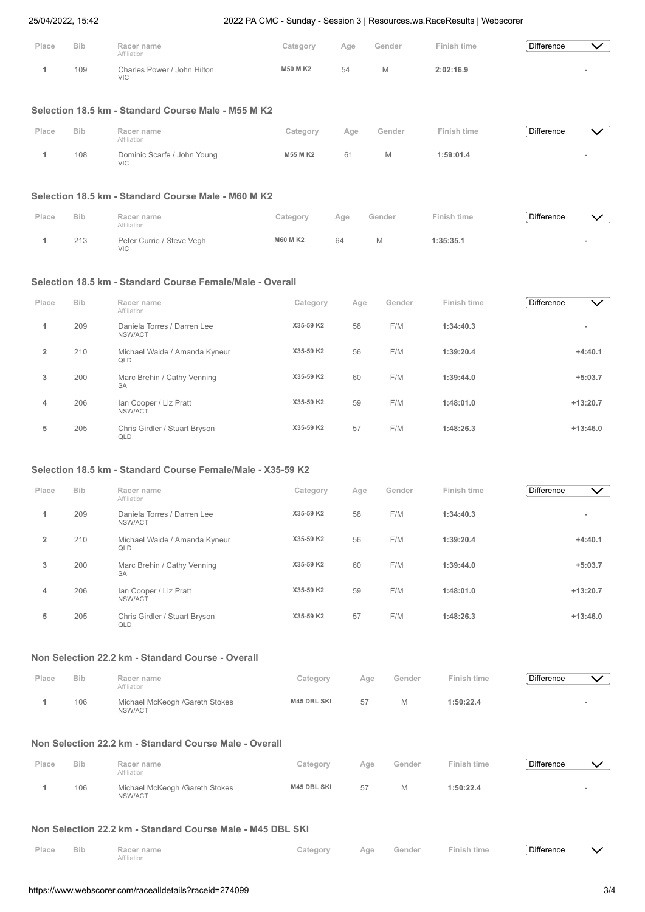|                         | 25/04/2022, 15:42 |                                                             | 2022 PA CMC - Sunday - Session 3   Resources.ws. Race Results   Webscorer |     |        |                    |                                   |
|-------------------------|-------------------|-------------------------------------------------------------|---------------------------------------------------------------------------|-----|--------|--------------------|-----------------------------------|
| Place                   | <b>Bib</b>        | Racer name<br>Affiliation                                   | Category                                                                  | Age | Gender | <b>Finish time</b> | <b>Difference</b><br>$\checkmark$ |
| 1                       | 109               | Charles Power / John Hilton<br><b>VIC</b>                   | <b>M50 MK2</b>                                                            | 54  | M      | 2:02:16.9          |                                   |
|                         |                   | Selection 18.5 km - Standard Course Male - M55 M K2         |                                                                           |     |        |                    |                                   |
| Place                   | <b>Bib</b>        | Racer name<br>Affiliation                                   | Category                                                                  | Age | Gender | Finish time        | <b>Difference</b><br>$\checkmark$ |
| 1                       | 108               | Dominic Scarfe / John Young<br><b>VIC</b>                   | <b>M55 MK2</b>                                                            | 61  | M      | 1:59:01.4          |                                   |
|                         |                   | Selection 18.5 km - Standard Course Male - M60 M K2         |                                                                           |     |        |                    |                                   |
| Place                   | <b>Bib</b>        | Racer name<br>Affiliation                                   | Category                                                                  | Age | Gender | Finish time        | <b>Difference</b><br>$\checkmark$ |
| 1                       | 213               | Peter Currie / Steve Vegh<br><b>VIC</b>                     | <b>M60 M K2</b>                                                           | 64  | M      | 1:35:35.1          |                                   |
|                         |                   | Selection 18.5 km - Standard Course Female/Male - Overall   |                                                                           |     |        |                    |                                   |
| Place                   | <b>Bib</b>        | Racer name<br>Affiliation                                   | Category                                                                  | Age | Gender | Finish time        | <b>Difference</b><br>$\checkmark$ |
| 1                       | 209               | Daniela Torres / Darren Lee<br>NSW/ACT                      | X35-59 K2                                                                 | 58  | F/M    | 1:34:40.3          |                                   |
| $\overline{\mathbf{2}}$ | 210               | Michael Waide / Amanda Kyneur<br>QLD                        | X35-59 K2                                                                 | 56  | F/M    | 1:39:20.4          | $+4:40.1$                         |
| 3                       | 200               | Marc Brehin / Cathy Venning<br>SA                           | X35-59 K2                                                                 | 60  | F/M    | 1:39:44.0          | $+5:03.7$                         |
| 4                       | 206               | Ian Cooper / Liz Pratt<br>NSW/ACT                           | X35-59 K2                                                                 | 59  | F/M    | 1:48:01.0          | $+13:20.7$                        |
| 5                       | 205               | Chris Girdler / Stuart Bryson<br>QLD                        | X35-59 K2                                                                 | 57  | F/M    | 1:48:26.3          | $+13:46.0$                        |
|                         |                   | Selection 18.5 km - Standard Course Female/Male - X35-59 K2 |                                                                           |     |        |                    |                                   |
| Place                   | <b>Bib</b>        | Racer name<br>Affiliation                                   | Category                                                                  | Age | Gender | <b>Finish time</b> | <b>Difference</b><br>$\checkmark$ |
| 1                       | 209               | Daniela Torres / Darren Lee<br>NSW/ACT                      | X35-59 K2                                                                 | 58  | F/M    | 1:34:40.3          |                                   |
| $\overline{\mathbf{2}}$ | 210               | Michael Waide / Amanda Kyneur<br>QLD                        | X35-59 K2                                                                 | 56  | F/M    | 1:39:20.4          | $+4:40.1$                         |
| 3                       | 200               | Marc Brehin / Cathy Venning<br>SA                           | X35-59 K2                                                                 | 60  | F/M    | 1:39:44.0          | $+5:03.7$                         |
| 4                       | 206               | Ian Cooper / Liz Pratt<br>NSW/ACT                           | X35-59 K2                                                                 | 59  | F/M    | 1:48:01.0          | $+13:20.7$                        |
| 5                       | 205               | Chris Girdler / Stuart Bryson<br>QLD                        | X35-59 K2                                                                 | 57  | F/M    | 1:48:26.3          | $+13:46.0$                        |
|                         |                   | Non Selection 22.2 km - Standard Course - Overall           |                                                                           |     |        |                    |                                   |
| Place                   | <b>Bib</b>        | Racer name<br>Affiliation                                   | Category                                                                  | Age | Gender | Finish time        | <b>Difference</b><br>$\checkmark$ |
| 1                       | 106               | Michael McKeogh /Gareth Stokes<br>NSW/ACT                   | M45 DBL SKI                                                               | 57  | M      | 1:50:22.4          |                                   |
|                         |                   | Non Selection 22.2 km - Standard Course Male - Overall      |                                                                           |     |        |                    |                                   |
| Place                   | <b>Bib</b>        | Racer name<br>Affiliation                                   | Category                                                                  | Age | Gender | <b>Finish time</b> | <b>Difference</b><br>$\checkmark$ |
| 1                       | 106               | Michael McKeogh /Gareth Stokes<br>NSW/ACT                   | M45 DBL SKI                                                               | 57  | M      | 1:50:22.4          |                                   |
|                         |                   | Non Selection 22.2 km - Standard Course Male - M45 DBL SKI  |                                                                           |     |        |                    |                                   |
| Place                   | <b>Bib</b>        | Racer name<br>Affiliation                                   | Category                                                                  | Age | Gender | <b>Finish time</b> | <b>Difference</b><br>$\checkmark$ |